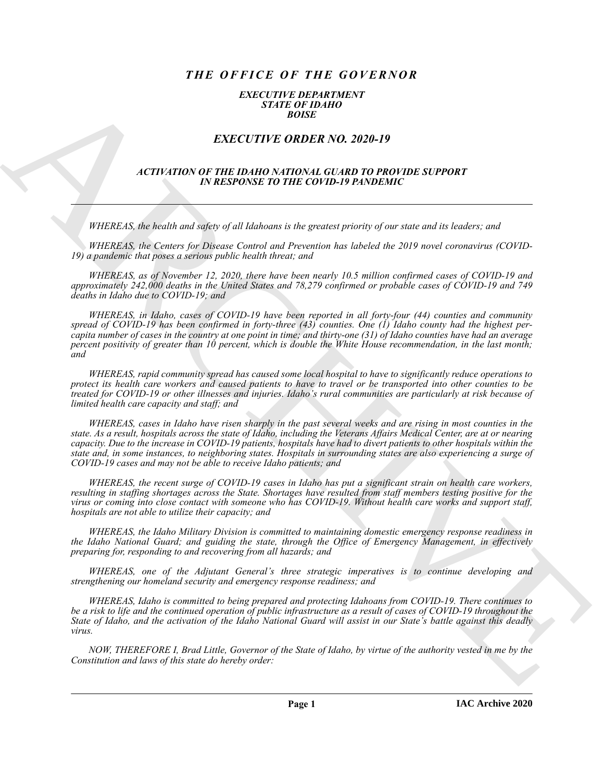# *THE OFFICE OF THE GOVERNOR*

### *EXECUTIVE DEPARTMENT STATE OF IDAHO BOISE*

## *EXECUTIVE ORDER NO. 2020-19*

### *ACTIVATION OF THE IDAHO NATIONAL GUARD TO PROVIDE SUPPORT IN RESPONSE TO THE COVID-19 PANDEMIC*

*WHEREAS, the health and safety of all Idahoans is the greatest priority of our state and its leaders; and* 

*WHEREAS, the Centers for Disease Control and Prevention has labeled the 2019 novel coronavirus (COVID-19) a pandemic that poses a serious public health threat; and* 

*WHEREAS, as of November 12, 2020, there have been nearly 10.5 million confirmed cases of COVID-19 and approximately 242,000 deaths in the United States and 78,279 confirmed or probable cases of COVID-19 and 749 deaths in Idaho due to COVID-19; and* 

**EXACTLY IF:** ORDER NO. 2020-19<br>
EXACTLY IF: ORDER NO. 2020-19<br>
EXACTLY IF: ORDER NO. 2020-19<br>
EXACTLY IF: ORDER NO. 2020-19<br>
THERE IS NOT THE CONTENT OF THE CONTENT IS INTERFERING SUPPLIES SUPPORT<br>
HARCH SUPPLIES TO THE *WHEREAS, in Idaho, cases of COVID-19 have been reported in all forty-four (44) counties and community spread of COVID-19 has been confirmed in forty-three (43) counties. One (1) Idaho county had the highest percapita number of cases in the country at one point in time; and thirty-one (31) of Idaho counties have had an average percent positivity of greater than 10 percent, which is double the White House recommendation, in the last month; and* 

*WHEREAS, rapid community spread has caused some local hospital to have to significantly reduce operations to protect its health care workers and caused patients to have to travel or be transported into other counties to be treated for COVID-19 or other illnesses and injuries. Idaho's rural communities are particularly at risk because of limited health care capacity and staff; and* 

*WHEREAS, cases in Idaho have risen sharply in the past several weeks and are rising in most counties in the state. As a result, hospitals across the state of Idaho, including the Veterans Affairs Medical Center, are at or nearing capacity. Due to the increase in COVID-19 patients, hospitals have had to divert patients to other hospitals within the state and, in some instances, to neighboring states. Hospitals in surrounding states are also experiencing a surge of COVID-19 cases and may not be able to receive Idaho patients; and* 

*WHEREAS, the recent surge of COVID-19 cases in Idaho has put a significant strain on health care workers, resulting in staffing shortages across the State. Shortages have resulted from staff members testing positive for the virus or coming into close contact with someone who has COVID-19. Without health care works and support staff, hospitals are not able to utilize their capacity; and* 

*WHEREAS, the Idaho Military Division is committed to maintaining domestic emergency response readiness in the Idaho National Guard; and guiding the state, through the Office of Emergency Management, in effectively preparing for, responding to and recovering from all hazards; and* 

*WHEREAS, one of the Adjutant General's three strategic imperatives is to continue developing and strengthening our homeland security and emergency response readiness; and* 

*WHEREAS, Idaho is committed to being prepared and protecting Idahoans from COVID-19. There continues to be a risk to life and the continued operation of public infrastructure as a result of cases of COVID-19 throughout the State of Idaho, and the activation of the Idaho National Guard will assist in our State's battle against this deadly virus.* 

*NOW, THEREFORE I, Brad Little, Governor of the State of Idaho, by virtue of the authority vested in me by the Constitution and laws of this state do hereby order:* 

**Page 1**